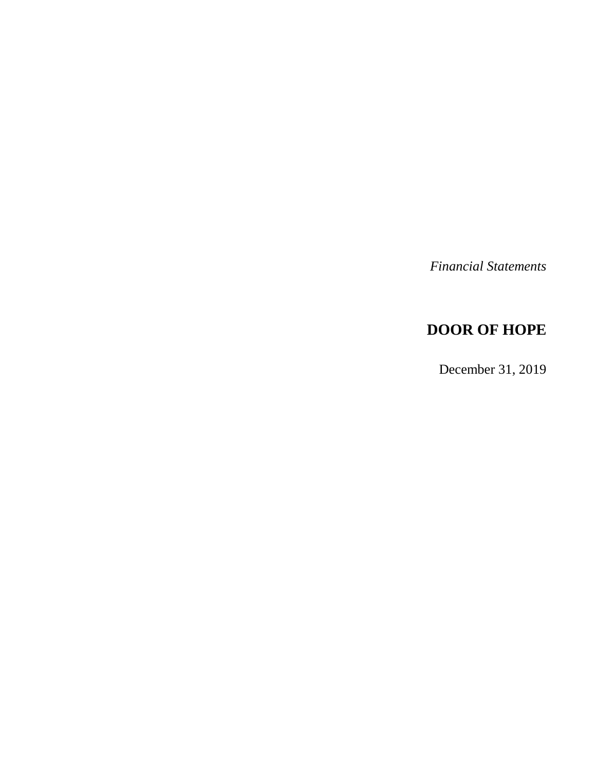*Financial Statements*

# **DOOR OF HOPE**

December 31, 2019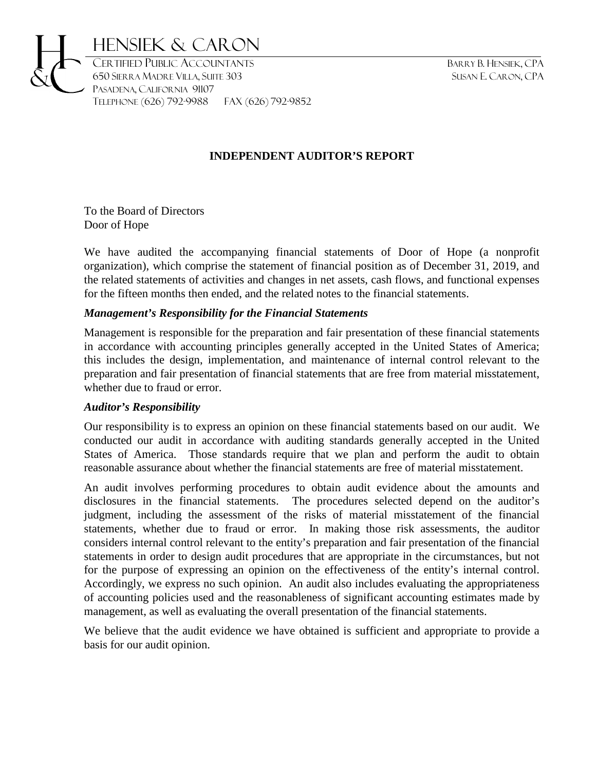

# **INDEPENDENT AUDITOR'S REPORT**

To the Board of Directors Door of Hope

We have audited the accompanying financial statements of Door of Hope (a nonprofit organization), which comprise the statement of financial position as of December 31, 2019, and the related statements of activities and changes in net assets, cash flows, and functional expenses for the fifteen months then ended, and the related notes to the financial statements.

### *Management's Responsibility for the Financial Statements*

Management is responsible for the preparation and fair presentation of these financial statements in accordance with accounting principles generally accepted in the United States of America; this includes the design, implementation, and maintenance of internal control relevant to the preparation and fair presentation of financial statements that are free from material misstatement, whether due to fraud or error.

### *Auditor's Responsibility*

Our responsibility is to express an opinion on these financial statements based on our audit. We conducted our audit in accordance with auditing standards generally accepted in the United States of America. Those standards require that we plan and perform the audit to obtain reasonable assurance about whether the financial statements are free of material misstatement.

An audit involves performing procedures to obtain audit evidence about the amounts and disclosures in the financial statements. The procedures selected depend on the auditor's judgment, including the assessment of the risks of material misstatement of the financial statements, whether due to fraud or error. In making those risk assessments, the auditor considers internal control relevant to the entity's preparation and fair presentation of the financial statements in order to design audit procedures that are appropriate in the circumstances, but not for the purpose of expressing an opinion on the effectiveness of the entity's internal control. Accordingly, we express no such opinion. An audit also includes evaluating the appropriateness of accounting policies used and the reasonableness of significant accounting estimates made by management, as well as evaluating the overall presentation of the financial statements.

We believe that the audit evidence we have obtained is sufficient and appropriate to provide a basis for our audit opinion.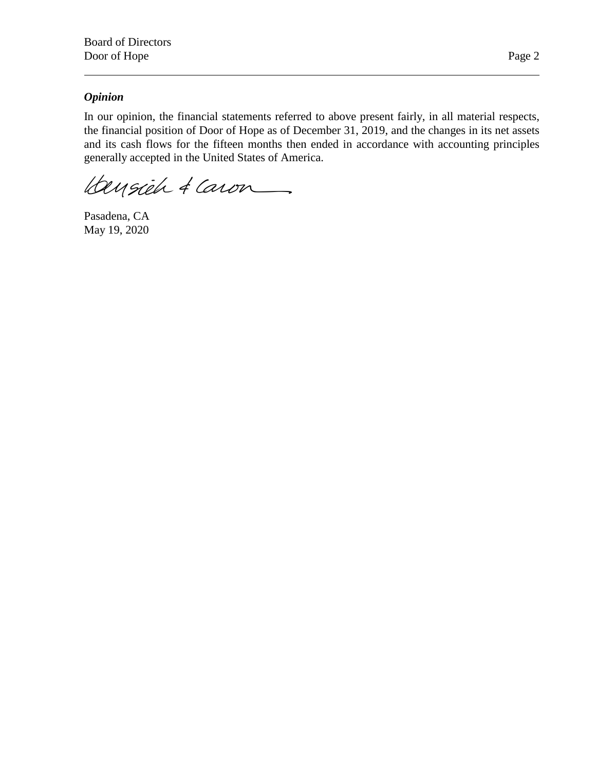# *Opinion*

In our opinion, the financial statements referred to above present fairly, in all material respects, the financial position of Door of Hope as of December 31, 2019, and the changes in its net assets and its cash flows for the fifteen months then ended in accordance with accounting principles generally accepted in the United States of America.

Densien & Caron

Pasadena, CA May 19, 2020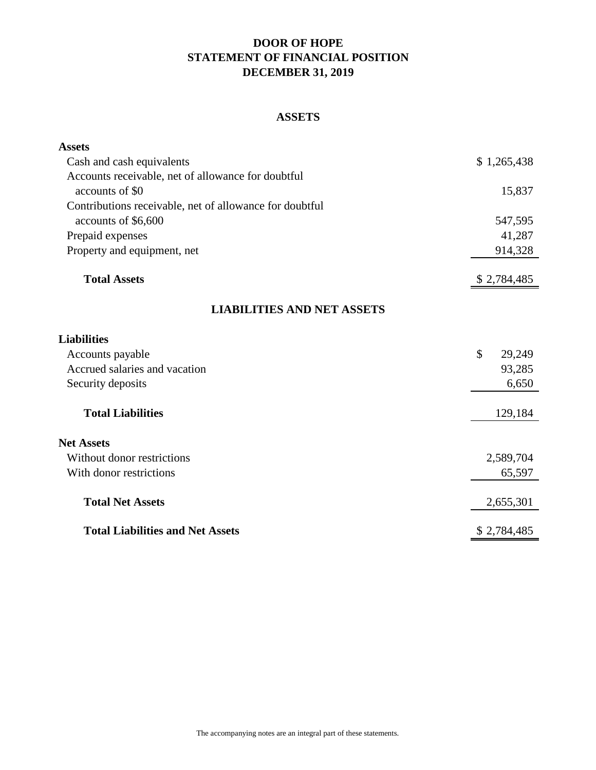# **DOOR OF HOPE STATEMENT OF FINANCIAL POSITION DECEMBER 31, 2019**

### **ASSETS**

| <b>Assets</b>                                           |              |
|---------------------------------------------------------|--------------|
| Cash and cash equivalents                               | \$1,265,438  |
| Accounts receivable, net of allowance for doubtful      |              |
| accounts of \$0                                         | 15,837       |
| Contributions receivable, net of allowance for doubtful |              |
| accounts of \$6,600                                     | 547,595      |
| Prepaid expenses                                        | 41,287       |
| Property and equipment, net                             | 914,328      |
| <b>Total Assets</b>                                     | \$2,784,485  |
| <b>LIABILITIES AND NET ASSETS</b>                       |              |
| <b>Liabilities</b>                                      |              |
| Accounts payable                                        | \$<br>29,249 |
| Accrued salaries and vacation                           | 93,285       |
| Security deposits                                       | 6,650        |
| <b>Total Liabilities</b>                                | 129,184      |
| <b>Net Assets</b>                                       |              |
| Without donor restrictions                              | 2,589,704    |
| With donor restrictions                                 | 65,597       |
| <b>Total Net Assets</b>                                 | 2,655,301    |
| <b>Total Liabilities and Net Assets</b>                 | \$2,784,485  |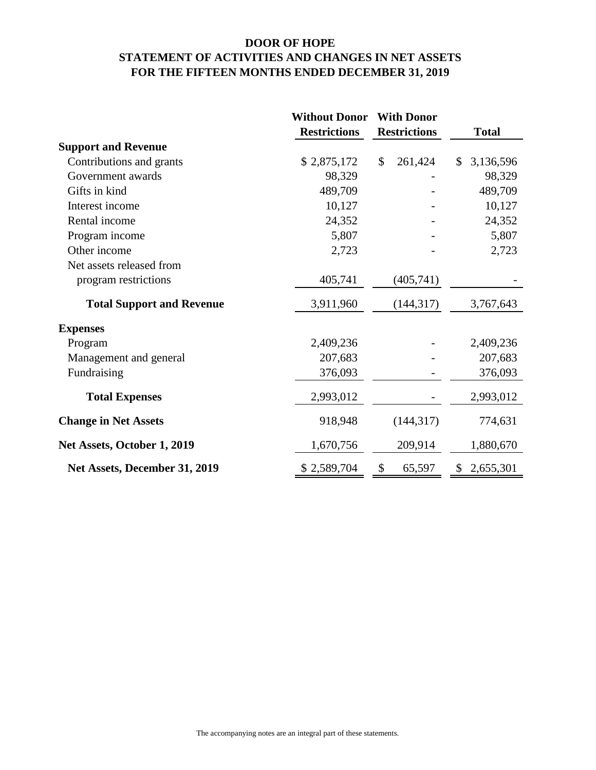# **DOOR OF HOPE STATEMENT OF ACTIVITIES AND CHANGES IN NET ASSETS FOR THE FIFTEEN MONTHS ENDED DECEMBER 31, 2019**

|                                  | <b>Without Donor</b> | <b>With Donor</b>   |                           |
|----------------------------------|----------------------|---------------------|---------------------------|
|                                  | <b>Restrictions</b>  | <b>Restrictions</b> | <b>Total</b>              |
| <b>Support and Revenue</b>       |                      |                     |                           |
| Contributions and grants         | \$2,875,172          | \$<br>261,424       | $\mathbb{S}$<br>3,136,596 |
| Government awards                | 98,329               |                     | 98,329                    |
| Gifts in kind                    | 489,709              |                     | 489,709                   |
| Interest income                  | 10,127               |                     | 10,127                    |
| Rental income                    | 24,352               |                     | 24,352                    |
| Program income                   | 5,807                |                     | 5,807                     |
| Other income                     | 2,723                |                     | 2,723                     |
| Net assets released from         |                      |                     |                           |
| program restrictions             | 405,741              | (405,741)           |                           |
| <b>Total Support and Revenue</b> | 3,911,960            | (144, 317)          | 3,767,643                 |
| <b>Expenses</b>                  |                      |                     |                           |
| Program                          | 2,409,236            |                     | 2,409,236                 |
| Management and general           | 207,683              |                     | 207,683                   |
| Fundraising                      | 376,093              |                     | 376,093                   |
| <b>Total Expenses</b>            | 2,993,012            |                     | 2,993,012                 |
| <b>Change in Net Assets</b>      | 918,948              | (144, 317)          | 774,631                   |
| Net Assets, October 1, 2019      | 1,670,756            | 209,914             | 1,880,670                 |
| Net Assets, December 31, 2019    | \$2,589,704          | \$<br>65,597        | 2,655,301<br>\$           |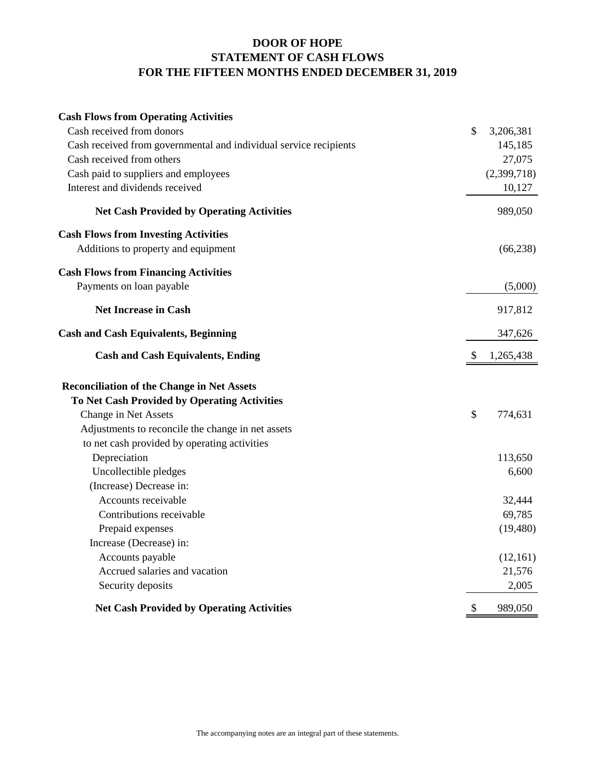# **DOOR OF HOPE STATEMENT OF CASH FLOWS FOR THE FIFTEEN MONTHS ENDED DECEMBER 31, 2019**

| <b>Cash Flows from Operating Activities</b>                       |               |             |
|-------------------------------------------------------------------|---------------|-------------|
| Cash received from donors                                         | $\mathcal{S}$ | 3,206,381   |
| Cash received from governmental and individual service recipients |               | 145,185     |
| Cash received from others                                         |               | 27,075      |
| Cash paid to suppliers and employees                              |               | (2,399,718) |
| Interest and dividends received                                   |               | 10,127      |
| <b>Net Cash Provided by Operating Activities</b>                  |               | 989,050     |
| <b>Cash Flows from Investing Activities</b>                       |               |             |
| Additions to property and equipment                               |               | (66, 238)   |
| <b>Cash Flows from Financing Activities</b>                       |               |             |
| Payments on loan payable                                          |               | (5,000)     |
| <b>Net Increase in Cash</b>                                       |               | 917,812     |
| <b>Cash and Cash Equivalents, Beginning</b>                       |               | 347,626     |
| <b>Cash and Cash Equivalents, Ending</b>                          | \$            | 1,265,438   |
| <b>Reconciliation of the Change in Net Assets</b>                 |               |             |
| To Net Cash Provided by Operating Activities                      |               |             |
| Change in Net Assets                                              | $\mathcal{S}$ | 774,631     |
| Adjustments to reconcile the change in net assets                 |               |             |
| to net cash provided by operating activities                      |               |             |
| Depreciation                                                      |               | 113,650     |
| Uncollectible pledges                                             |               | 6,600       |
| (Increase) Decrease in:                                           |               |             |
| Accounts receivable                                               |               | 32,444      |
| Contributions receivable                                          |               | 69,785      |
| Prepaid expenses                                                  |               | (19, 480)   |
| Increase (Decrease) in:                                           |               |             |
| Accounts payable                                                  |               | (12,161)    |
| Accrued salaries and vacation                                     |               | 21,576      |
| Security deposits                                                 |               | 2,005       |
| <b>Net Cash Provided by Operating Activities</b>                  | \$            | 989,050     |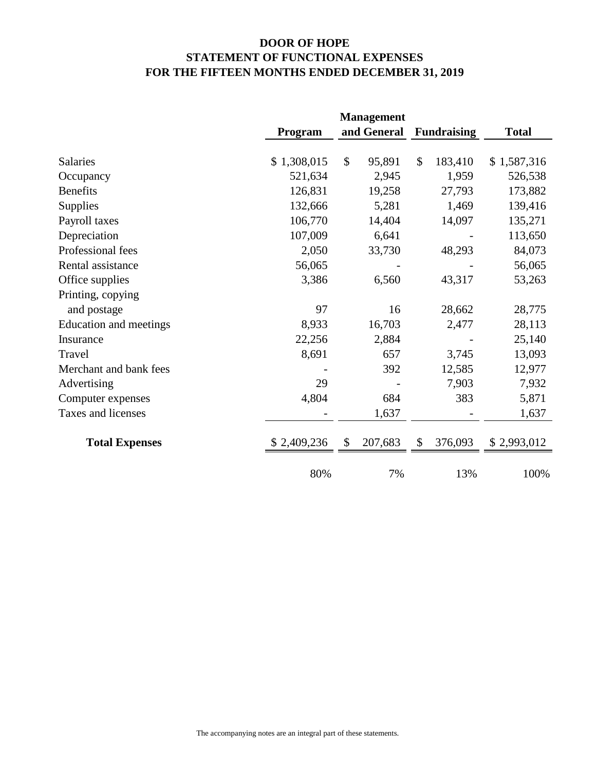# **DOOR OF HOPE STATEMENT OF FUNCTIONAL EXPENSES FOR THE FIFTEEN MONTHS ENDED DECEMBER 31, 2019**

|                               |                | <b>Management</b> |                          |              |
|-------------------------------|----------------|-------------------|--------------------------|--------------|
|                               | <b>Program</b> | and General       | <b>Fundraising</b>       | <b>Total</b> |
|                               |                |                   |                          |              |
| <b>Salaries</b>               | \$1,308,015    | \$<br>95,891      | $\mathcal{S}$<br>183,410 | \$1,587,316  |
| Occupancy                     | 521,634        | 2,945             | 1,959                    | 526,538      |
| <b>Benefits</b>               | 126,831        | 19,258            | 27,793                   | 173,882      |
| Supplies                      | 132,666        | 5,281             | 1,469                    | 139,416      |
| Payroll taxes                 | 106,770        | 14,404            | 14,097                   | 135,271      |
| Depreciation                  | 107,009        | 6,641             |                          | 113,650      |
| Professional fees             | 2,050          | 33,730            | 48,293                   | 84,073       |
| Rental assistance             | 56,065         |                   |                          | 56,065       |
| Office supplies               | 3,386          | 6,560             | 43,317                   | 53,263       |
| Printing, copying             |                |                   |                          |              |
| and postage                   | 97             | 16                | 28,662                   | 28,775       |
| <b>Education and meetings</b> | 8,933          | 16,703            | 2,477                    | 28,113       |
| Insurance                     | 22,256         | 2,884             |                          | 25,140       |
| Travel                        | 8,691          | 657               | 3,745                    | 13,093       |
| Merchant and bank fees        |                | 392               | 12,585                   | 12,977       |
| Advertising                   | 29             |                   | 7,903                    | 7,932        |
| Computer expenses             | 4,804          | 684               | 383                      | 5,871        |
| Taxes and licenses            |                | 1,637             |                          | 1,637        |
| <b>Total Expenses</b>         | \$2,409,236    | 207,683<br>\$     | 376,093<br>\$            | \$2,993,012  |
|                               | 80%            | 7%                | 13%                      | 100%         |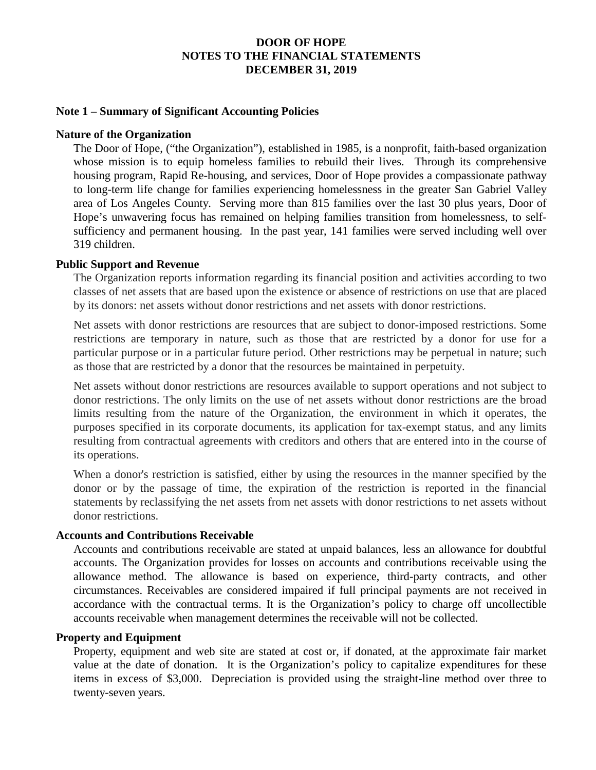### **Note 1 – Summary of Significant Accounting Policies**

### **Nature of the Organization**

The Door of Hope, ("the Organization"), established in 1985, is a nonprofit, faith-based organization whose mission is to equip homeless families to rebuild their lives. Through its comprehensive housing program, Rapid Re-housing, and services, Door of Hope provides a compassionate pathway to long-term life change for families experiencing homelessness in the greater San Gabriel Valley area of Los Angeles County. Serving more than 815 families over the last 30 plus years, Door of Hope's unwavering focus has remained on helping families transition from homelessness, to selfsufficiency and permanent housing. In the past year, 141 families were served including well over 319 children.

### **Public Support and Revenue**

The Organization reports information regarding its financial position and activities according to two classes of net assets that are based upon the existence or absence of restrictions on use that are placed by its donors: net assets without donor restrictions and net assets with donor restrictions.

Net assets with donor restrictions are resources that are subject to donor-imposed restrictions. Some restrictions are temporary in nature, such as those that are restricted by a donor for use for a particular purpose or in a particular future period. Other restrictions may be perpetual in nature; such as those that are restricted by a donor that the resources be maintained in perpetuity.

Net assets without donor restrictions are resources available to support operations and not subject to donor restrictions. The only limits on the use of net assets without donor restrictions are the broad limits resulting from the nature of the Organization, the environment in which it operates, the purposes specified in its corporate documents, its application for tax-exempt status, and any limits resulting from contractual agreements with creditors and others that are entered into in the course of its operations.

When a donor's restriction is satisfied, either by using the resources in the manner specified by the donor or by the passage of time, the expiration of the restriction is reported in the financial statements by reclassifying the net assets from net assets with donor restrictions to net assets without donor restrictions.

### **Accounts and Contributions Receivable**

Accounts and contributions receivable are stated at unpaid balances, less an allowance for doubtful accounts. The Organization provides for losses on accounts and contributions receivable using the allowance method. The allowance is based on experience, third-party contracts, and other circumstances. Receivables are considered impaired if full principal payments are not received in accordance with the contractual terms. It is the Organization's policy to charge off uncollectible accounts receivable when management determines the receivable will not be collected.

### **Property and Equipment**

Property, equipment and web site are stated at cost or, if donated, at the approximate fair market value at the date of donation. It is the Organization's policy to capitalize expenditures for these items in excess of \$3,000. Depreciation is provided using the straight-line method over three to twenty-seven years.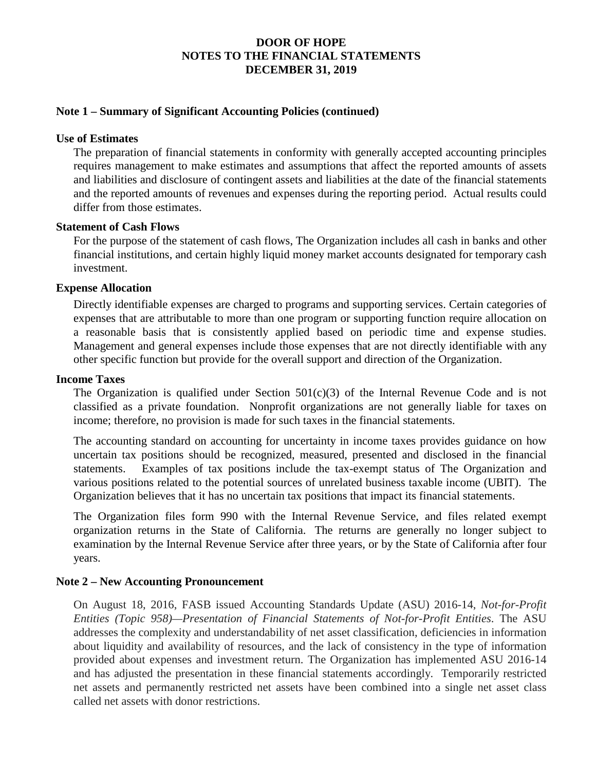### **Note 1 – Summary of Significant Accounting Policies (continued)**

### **Use of Estimates**

The preparation of financial statements in conformity with generally accepted accounting principles requires management to make estimates and assumptions that affect the reported amounts of assets and liabilities and disclosure of contingent assets and liabilities at the date of the financial statements and the reported amounts of revenues and expenses during the reporting period. Actual results could differ from those estimates.

#### **Statement of Cash Flows**

For the purpose of the statement of cash flows, The Organization includes all cash in banks and other financial institutions, and certain highly liquid money market accounts designated for temporary cash investment.

### **Expense Allocation**

Directly identifiable expenses are charged to programs and supporting services. Certain categories of expenses that are attributable to more than one program or supporting function require allocation on a reasonable basis that is consistently applied based on periodic time and expense studies. Management and general expenses include those expenses that are not directly identifiable with any other specific function but provide for the overall support and direction of the Organization.

### **Income Taxes**

The Organization is qualified under Section  $501(c)(3)$  of the Internal Revenue Code and is not classified as a private foundation. Nonprofit organizations are not generally liable for taxes on income; therefore, no provision is made for such taxes in the financial statements.

The accounting standard on accounting for uncertainty in income taxes provides guidance on how uncertain tax positions should be recognized, measured, presented and disclosed in the financial statements. Examples of tax positions include the tax-exempt status of The Organization and various positions related to the potential sources of unrelated business taxable income (UBIT). The Organization believes that it has no uncertain tax positions that impact its financial statements.

The Organization files form 990 with the Internal Revenue Service, and files related exempt organization returns in the State of California. The returns are generally no longer subject to examination by the Internal Revenue Service after three years, or by the State of California after four years.

#### **Note 2 – New Accounting Pronouncement**

On August 18, 2016, FASB issued Accounting Standards Update (ASU) 2016-14, *Not-for-Profit Entities (Topic 958)—Presentation of Financial Statements of Not-for-Profit Entities*. The ASU addresses the complexity and understandability of net asset classification, deficiencies in information about liquidity and availability of resources, and the lack of consistency in the type of information provided about expenses and investment return. The Organization has implemented ASU 2016-14 and has adjusted the presentation in these financial statements accordingly. Temporarily restricted net assets and permanently restricted net assets have been combined into a single net asset class called net assets with donor restrictions.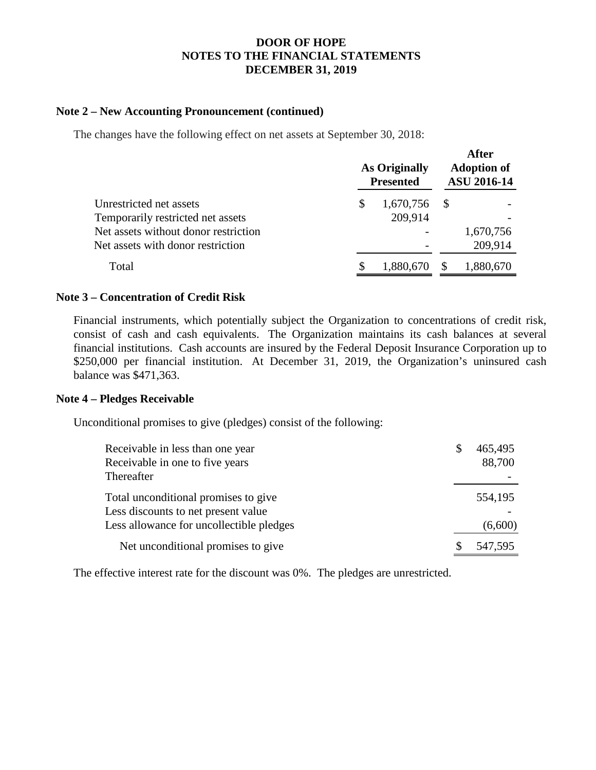### **Note 2 – New Accounting Pronouncement (continued)**

The changes have the following effect on net assets at September 30, 2018:

|                                      | <b>As Originally</b><br><b>Presented</b> |    | <b>After</b><br><b>Adoption of</b><br><b>ASU 2016-14</b> |
|--------------------------------------|------------------------------------------|----|----------------------------------------------------------|
| Unrestricted net assets              | \$<br>1,670,756                          | -S |                                                          |
| Temporarily restricted net assets    | 209,914                                  |    |                                                          |
| Net assets without donor restriction |                                          |    | 1,670,756                                                |
| Net assets with donor restriction    |                                          |    | 209,914                                                  |
| Total                                | 1,880,670                                |    | 1,880,670                                                |

### **Note 3 – Concentration of Credit Risk**

Financial instruments, which potentially subject the Organization to concentrations of credit risk, consist of cash and cash equivalents. The Organization maintains its cash balances at several financial institutions. Cash accounts are insured by the Federal Deposit Insurance Corporation up to \$250,000 per financial institution. At December 31, 2019, the Organization's uninsured cash balance was \$471,363.

### **Note 4 – Pledges Receivable**

Unconditional promises to give (pledges) consist of the following:

| Receivable in less than one year         | \$<br>465,495 |
|------------------------------------------|---------------|
| Receivable in one to five years          | 88,700        |
| Thereafter                               |               |
| Total unconditional promises to give     | 554,195       |
| Less discounts to net present value      |               |
| Less allowance for uncollectible pledges | (6,600)       |
| Net unconditional promises to give       | 547,595       |

The effective interest rate for the discount was 0%. The pledges are unrestricted.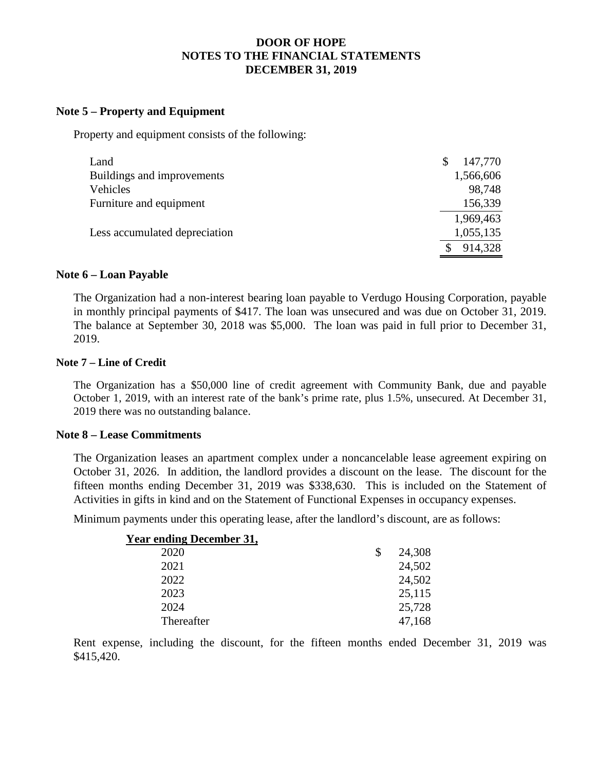### **Note 5 – Property and Equipment**

Property and equipment consists of the following:

| Land                          | 147,770   |
|-------------------------------|-----------|
| Buildings and improvements    | 1,566,606 |
| Vehicles                      | 98,748    |
| Furniture and equipment       | 156,339   |
|                               | 1,969,463 |
| Less accumulated depreciation | 1,055,135 |
|                               | 914,328   |
|                               |           |

### **Note 6 – Loan Payable**

The Organization had a non-interest bearing loan payable to Verdugo Housing Corporation, payable in monthly principal payments of \$417. The loan was unsecured and was due on October 31, 2019. The balance at September 30, 2018 was \$5,000. The loan was paid in full prior to December 31, 2019.

### **Note 7 – Line of Credit**

The Organization has a \$50,000 line of credit agreement with Community Bank, due and payable October 1, 2019, with an interest rate of the bank's prime rate, plus 1.5%, unsecured. At December 31, 2019 there was no outstanding balance.

### **Note 8 – Lease Commitments**

The Organization leases an apartment complex under a noncancelable lease agreement expiring on October 31, 2026. In addition, the landlord provides a discount on the lease. The discount for the fifteen months ending December 31, 2019 was \$338,630. This is included on the Statement of Activities in gifts in kind and on the Statement of Functional Expenses in occupancy expenses.

Minimum payments under this operating lease, after the landlord's discount, are as follows:

| <b>Year ending December 31,</b> |        |
|---------------------------------|--------|
| 2020                            | 24,308 |
| 2021                            | 24,502 |
| 2022                            | 24,502 |
| 2023                            | 25,115 |
| 2024                            | 25,728 |
| Thereafter                      | 47,168 |
|                                 |        |

Rent expense, including the discount, for the fifteen months ended December 31, 2019 was \$415,420.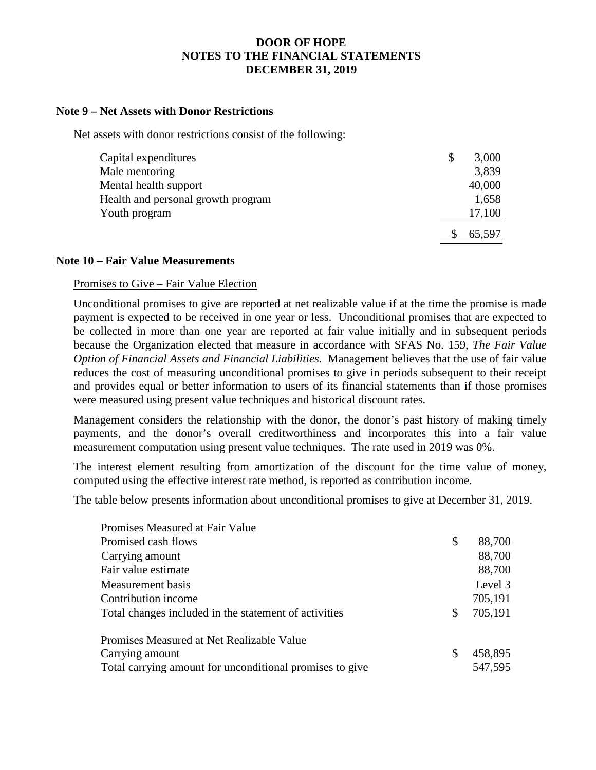### **Note 9 – Net Assets with Donor Restrictions**

Net assets with donor restrictions consist of the following:

| Capital expenditures               | 3,000  |
|------------------------------------|--------|
| Male mentoring                     | 3,839  |
| Mental health support              | 40,000 |
| Health and personal growth program | 1,658  |
| Youth program                      | 17,100 |
|                                    | 65,597 |

### **Note 10 – Fair Value Measurements**

### Promises to Give – Fair Value Election

Unconditional promises to give are reported at net realizable value if at the time the promise is made payment is expected to be received in one year or less. Unconditional promises that are expected to be collected in more than one year are reported at fair value initially and in subsequent periods because the Organization elected that measure in accordance with SFAS No. 159, *The Fair Value Option of Financial Assets and Financial Liabilities*. Management believes that the use of fair value reduces the cost of measuring unconditional promises to give in periods subsequent to their receipt and provides equal or better information to users of its financial statements than if those promises were measured using present value techniques and historical discount rates.

Management considers the relationship with the donor, the donor's past history of making timely payments, and the donor's overall creditworthiness and incorporates this into a fair value measurement computation using present value techniques. The rate used in 2019 was 0%.

The interest element resulting from amortization of the discount for the time value of money, computed using the effective interest rate method, is reported as contribution income.

The table below presents information about unconditional promises to give at December 31, 2019.

| Promises Measured at Fair Value                          |               |
|----------------------------------------------------------|---------------|
| Promised cash flows                                      | \$<br>88,700  |
| Carrying amount                                          | 88,700        |
| Fair value estimate                                      | 88,700        |
| Measurement basis                                        | Level 3       |
| Contribution income                                      | 705,191       |
| Total changes included in the statement of activities    | \$<br>705,191 |
| Promises Measured at Net Realizable Value                |               |
| Carrying amount                                          | \$<br>458,895 |
| Total carrying amount for unconditional promises to give | 547,595       |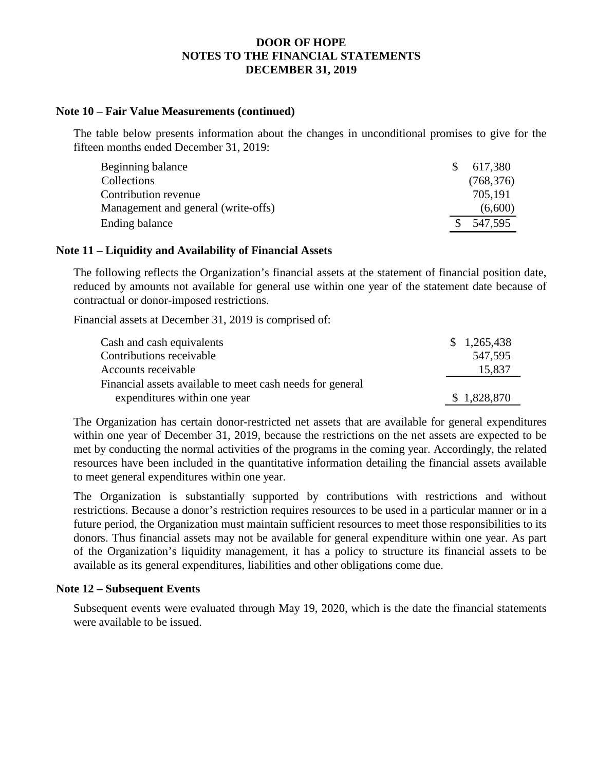### **Note 10 – Fair Value Measurements (continued)**

The table below presents information about the changes in unconditional promises to give for the fifteen months ended December 31, 2019:

| Beginning balance                   | 617,380    |
|-------------------------------------|------------|
| Collections                         | (768, 376) |
| Contribution revenue                | 705.191    |
| Management and general (write-offs) | (6,600)    |
| Ending balance                      | 547,595    |

### **Note 11 – Liquidity and Availability of Financial Assets**

The following reflects the Organization's financial assets at the statement of financial position date, reduced by amounts not available for general use within one year of the statement date because of contractual or donor-imposed restrictions.

Financial assets at December 31, 2019 is comprised of:

| Cash and cash equivalents                                 | \$1,265,438 |
|-----------------------------------------------------------|-------------|
| Contributions receivable                                  | 547,595     |
| Accounts receivable                                       | 15,837      |
| Financial assets available to meet cash needs for general |             |
| expenditures within one year                              | \$1,828,870 |

The Organization has certain donor-restricted net assets that are available for general expenditures within one year of December 31, 2019, because the restrictions on the net assets are expected to be met by conducting the normal activities of the programs in the coming year. Accordingly, the related resources have been included in the quantitative information detailing the financial assets available to meet general expenditures within one year.

The Organization is substantially supported by contributions with restrictions and without restrictions. Because a donor's restriction requires resources to be used in a particular manner or in a future period, the Organization must maintain sufficient resources to meet those responsibilities to its donors. Thus financial assets may not be available for general expenditure within one year. As part of the Organization's liquidity management, it has a policy to structure its financial assets to be available as its general expenditures, liabilities and other obligations come due.

### **Note 12 – Subsequent Events**

Subsequent events were evaluated through May 19, 2020, which is the date the financial statements were available to be issued.